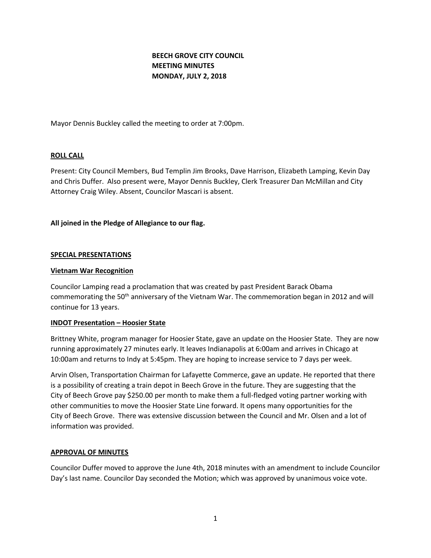# **BEECH GROVE CITY COUNCIL MEETING MINUTES MONDAY, JULY 2, 2018**

Mayor Dennis Buckley called the meeting to order at 7:00pm.

### **ROLL CALL**

Present: City Council Members, Bud Templin Jim Brooks, Dave Harrison, Elizabeth Lamping, Kevin Day and Chris Duffer. Also present were, Mayor Dennis Buckley, Clerk Treasurer Dan McMillan and City Attorney Craig Wiley. Absent, Councilor Mascari is absent.

### **All joined in the Pledge of Allegiance to our flag.**

#### **SPECIAL PRESENTATIONS**

#### **Vietnam War Recognition**

Councilor Lamping read a proclamation that was created by past President Barack Obama commemorating the 50<sup>th</sup> anniversary of the Vietnam War. The commemoration began in 2012 and will continue for 13 years.

#### **INDOT Presentation – Hoosier State**

Brittney White, program manager for Hoosier State, gave an update on the Hoosier State. They are now running approximately 27 minutes early. It leaves Indianapolis at 6:00am and arrives in Chicago at 10:00am and returns to Indy at 5:45pm. They are hoping to increase service to 7 days per week.

Arvin Olsen, Transportation Chairman for Lafayette Commerce, gave an update. He reported that there is a possibility of creating a train depot in Beech Grove in the future. They are suggesting that the City of Beech Grove pay \$250.00 per month to make them a full-fledged voting partner working with other communities to move the Hoosier State Line forward. It opens many opportunities for the City of Beech Grove. There was extensive discussion between the Council and Mr. Olsen and a lot of information was provided.

#### **APPROVAL OF MINUTES**

Councilor Duffer moved to approve the June 4th, 2018 minutes with an amendment to include Councilor Day's last name. Councilor Day seconded the Motion; which was approved by unanimous voice vote.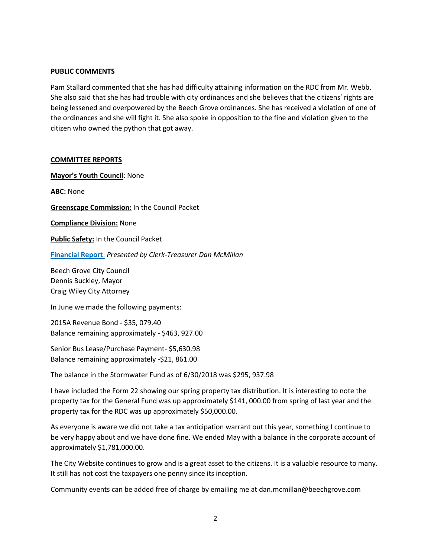### **PUBLIC COMMENTS**

Pam Stallard commented that she has had difficulty attaining information on the RDC from Mr. Webb. She also said that she has had trouble with city ordinances and she believes that the citizens' rights are being lessened and overpowered by the Beech Grove ordinances. She has received a violation of one of the ordinances and she will fight it. She also spoke in opposition to the fine and violation given to the citizen who owned the python that got away.

#### **COMMITTEE REPORTS**

**Mayor's Youth Council**: None

**ABC:** None

**Greenscape Commission:** In the Council Packet

**Compliance Division:** None

**Public Safety:** In the Council Packet

**[Financial Report](http://www.beechgrove.com/uploads/1/0/1/2/10129925/5.1.2018_financial_report.pdf)**: *Presented by Clerk-Treasurer Dan McMillan*

Beech Grove City Council Dennis Buckley, Mayor Craig Wiley City Attorney

In June we made the following payments:

2015A Revenue Bond - \$35, 079.40 Balance remaining approximately - \$463, 927.00

Senior Bus Lease/Purchase Payment- \$5,630.98 Balance remaining approximately -\$21, 861.00

The balance in the Stormwater Fund as of 6/30/2018 was \$295, 937.98

I have included the Form 22 showing our spring property tax distribution. It is interesting to note the property tax for the General Fund was up approximately \$141, 000.00 from spring of last year and the property tax for the RDC was up approximately \$50,000.00.

As everyone is aware we did not take a tax anticipation warrant out this year, something I continue to be very happy about and we have done fine. We ended May with a balance in the corporate account of approximately \$1,781,000.00.

The City Website continues to grow and is a great asset to the citizens. It is a valuable resource to many. It still has not cost the taxpayers one penny since its inception.

Community events can be added free of charge by emailing me at dan.mcmillan@beechgrove.com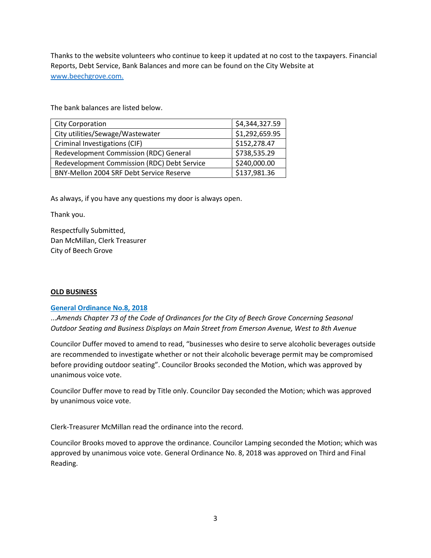Thanks to the website volunteers who continue to keep it updated at no cost to the taxpayers. Financial Reports, Debt Service, Bank Balances and more can be found on the City Website at [www.beechgrove.com.](http://www.beechgrove.com./)

The bank balances are listed below.

| <b>City Corporation</b>                     | \$4,344,327.59 |
|---------------------------------------------|----------------|
| City utilities/Sewage/Wastewater            | \$1,292,659.95 |
| Criminal Investigations (CIF)               | \$152,278.47   |
| Redevelopment Commission (RDC) General      | \$738,535.29   |
| Redevelopment Commission (RDC) Debt Service | \$240,000.00   |
| BNY-Mellon 2004 SRF Debt Service Reserve    | \$137,981.36   |

As always, if you have any questions my door is always open.

Thank you.

Respectfully Submitted, Dan McMillan, Clerk Treasurer City of Beech Grove

### **OLD BUSINESS**

#### **[General Ordinance No.8, 2018](http://www.beechgrove.com/uploads/1/0/1/2/10129925/general_ordinance_8_2018.pdf)**

...*Amends Chapter 73 of the Code of Ordinances for the City of Beech Grove Concerning Seasonal Outdoor Seating and Business Displays on Main Street from Emerson Avenue, West to 8th Avenue*

Councilor Duffer moved to amend to read, "businesses who desire to serve alcoholic beverages outside are recommended to investigate whether or not their alcoholic beverage permit may be compromised before providing outdoor seating". Councilor Brooks seconded the Motion, which was approved by unanimous voice vote.

Councilor Duffer move to read by Title only. Councilor Day seconded the Motion; which was approved by unanimous voice vote.

Clerk-Treasurer McMillan read the ordinance into the record.

Councilor Brooks moved to approve the ordinance. Councilor Lamping seconded the Motion; which was approved by unanimous voice vote. General Ordinance No. 8, 2018 was approved on Third and Final Reading.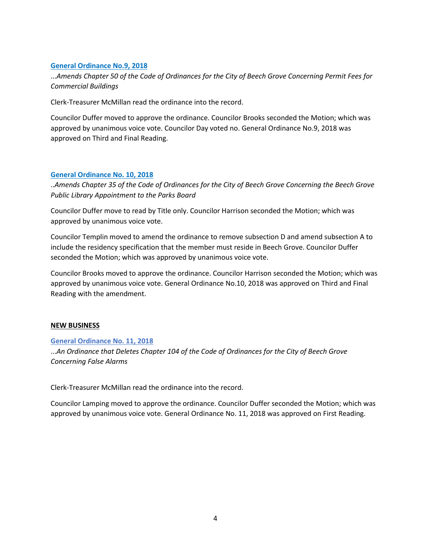# **[General Ordinance No.9, 2018](http://www.beechgrove.com/uploads/1/0/1/2/10129925/general_ordinance_9_2018.pdf)**

...*Amends Chapter 50 of the Code of Ordinances for the City of Beech Grove Concerning Permit Fees for Commercial Buildings*

Clerk-Treasurer McMillan read the ordinance into the record.

Councilor Duffer moved to approve the ordinance. Councilor Brooks seconded the Motion; which was approved by unanimous voice vote. Councilor Day voted no. General Ordinance No.9, 2018 was approved on Third and Final Reading.

### **[General Ordinance No. 10, 2018](http://www.beechgrove.com/uploads/1/0/1/2/10129925/general_ordinance_10_2018.pdf)**

..*Amends Chapter 35 of the Code of Ordinances for the City of Beech Grove Concerning the Beech Grove Public Library Appointment to the Parks Board*

Councilor Duffer move to read by Title only. Councilor Harrison seconded the Motion; which was approved by unanimous voice vote.

Councilor Templin moved to amend the ordinance to remove subsection D and amend subsection A to include the residency specification that the member must reside in Beech Grove. Councilor Duffer seconded the Motion; which was approved by unanimous voice vote.

Councilor Brooks moved to approve the ordinance. Councilor Harrison seconded the Motion; which was approved by unanimous voice vote. General Ordinance No.10, 2018 was approved on Third and Final Reading with the amendment.

### **NEW BUSINESS**

### **[General Ordinance No. 11, 2018](http://www.beechgrove.com/uploads/1/0/1/2/10129925/general_ordinance_no.112018.pdf)**

...*An Ordinance that Deletes Chapter 104 of the Code of Ordinances for the City of Beech Grove Concerning False Alarms*

Clerk-Treasurer McMillan read the ordinance into the record.

Councilor Lamping moved to approve the ordinance. Councilor Duffer seconded the Motion; which was approved by unanimous voice vote. General Ordinance No. 11, 2018 was approved on First Reading.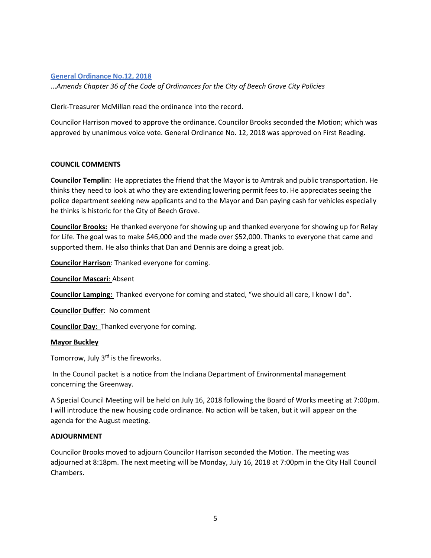# **[General Ordinance No.12, 2018](http://www.beechgrove.com/uploads/1/0/1/2/10129925/general_ordinance_12_2018.pdf)**

...*Amends Chapter 36 of the Code of Ordinances for the City of Beech Grove City Policies*

Clerk-Treasurer McMillan read the ordinance into the record.

Councilor Harrison moved to approve the ordinance. Councilor Brooks seconded the Motion; which was approved by unanimous voice vote. General Ordinance No. 12, 2018 was approved on First Reading.

### **COUNCIL COMMENTS**

**Councilor Templin**: He appreciates the friend that the Mayor is to Amtrak and public transportation. He thinks they need to look at who they are extending lowering permit fees to. He appreciates seeing the police department seeking new applicants and to the Mayor and Dan paying cash for vehicles especially he thinks is historic for the City of Beech Grove.

**Councilor Brooks:** He thanked everyone for showing up and thanked everyone for showing up for Relay for Life. The goal was to make \$46,000 and the made over \$52,000. Thanks to everyone that came and supported them. He also thinks that Dan and Dennis are doing a great job.

**Councilor Harrison**: Thanked everyone for coming.

**Councilor Mascari**: Absent

**Councilor Lamping:** Thanked everyone for coming and stated, "we should all care, I know I do".

**Councilor Duffer**: No comment

**Councilor Day:** Thanked everyone for coming.

#### **Mayor Buckley**

Tomorrow, July  $3<sup>rd</sup>$  is the fireworks.

In the Council packet is a notice from the Indiana Department of Environmental management concerning the Greenway.

A Special Council Meeting will be held on July 16, 2018 following the Board of Works meeting at 7:00pm. I will introduce the new housing code ordinance. No action will be taken, but it will appear on the agenda for the August meeting.

#### **ADJOURNMENT**

Councilor Brooks moved to adjourn Councilor Harrison seconded the Motion. The meeting was adjourned at 8:18pm. The next meeting will be Monday, July 16, 2018 at 7:00pm in the City Hall Council Chambers.